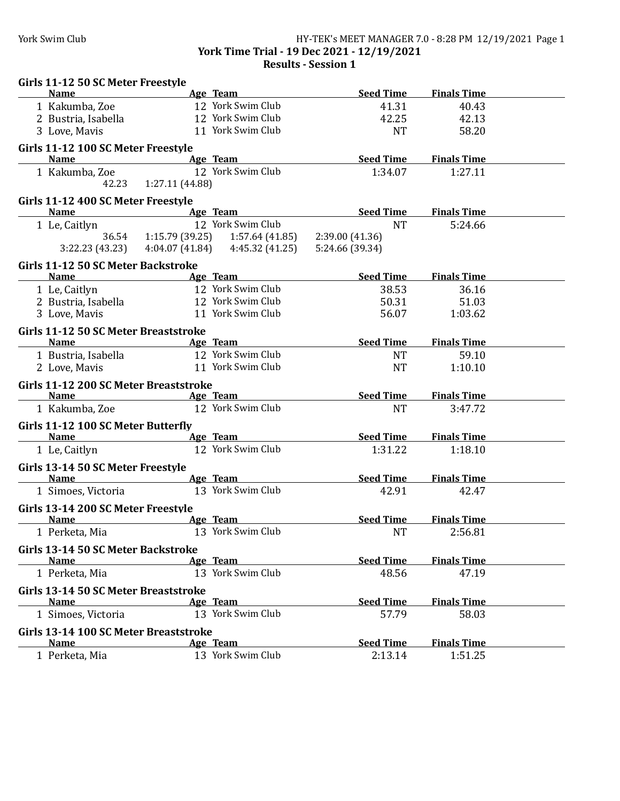## York Swim Club HY-TEK's MEET MANAGER 7.0 - 8:28 PM 12/19/2021 Page 1 **York Time Trial - 19 Dec 2021 - 12/19/2021**

**Results - Session 1**

| Girls 11-12 50 SC Meter Freestyle                 |                              |                                                                 |                  |                       |  |
|---------------------------------------------------|------------------------------|-----------------------------------------------------------------|------------------|-----------------------|--|
| <b>Name</b>                                       |                              | Age Team                                                        | Seed Time        | <b>Finals Time</b>    |  |
| 1 Kakumba, Zoe                                    |                              | 12 York Swim Club                                               | 41.31            | 40.43                 |  |
| 2 Bustria, Isabella                               |                              | 12 York Swim Club                                               | 42.25            | 42.13                 |  |
| 3 Love, Mavis                                     |                              | 11 York Swim Club                                               | <b>NT</b>        | 58.20                 |  |
| Girls 11-12 100 SC Meter Freestyle                |                              |                                                                 |                  |                       |  |
| <b>Name</b>                                       | <b>Example 2 Age Team</b>    |                                                                 | Seed Time        | <b>Finals Time</b>    |  |
| 1 Kakumba, Zoe                                    | 42.23 1:27.11 (44.88)        | 12 York Swim Club                                               | 1:34.07          | 1:27.11               |  |
| Girls 11-12 400 SC Meter Freestyle<br><b>Name</b> |                              | <b>Example 2018</b> Age Team <b>Age 2018</b>                    | <b>Seed Time</b> | <b>Finals Time</b>    |  |
| 1 Le, Caitlyn                                     |                              | 12 York Swim Club                                               | <b>NT</b>        | 5:24.66               |  |
|                                                   |                              | 36.54 $1:15.79$ (39.25) $1:57.64$ (41.85) $2:39.00$ (41.36)     |                  |                       |  |
|                                                   |                              | 3:22.23 (43.23) 4:04.07 (41.84) 4:45.32 (41.25) 5:24.66 (39.34) |                  |                       |  |
| Girls 11-12 50 SC Meter Backstroke                |                              |                                                                 |                  |                       |  |
| <b>Name</b>                                       |                              | Age Team                                                        |                  | Seed Time Finals Time |  |
| 1 Le, Caitlyn                                     |                              | 12 York Swim Club                                               | 38.53            | 36.16                 |  |
| 2 Bustria, Isabella                               |                              | 12 York Swim Club                                               | 50.31            | 51.03                 |  |
| 3 Love, Mavis                                     |                              | 11 York Swim Club                                               | 56.07            | 1:03.62               |  |
| Girls 11-12 50 SC Meter Breaststroke              |                              |                                                                 |                  |                       |  |
| <b>Name</b>                                       | <b>Example 21 Age Team</b>   |                                                                 | <b>Seed Time</b> | <b>Finals Time</b>    |  |
| 1 Bustria, Isabella                               |                              | 12 York Swim Club                                               | <b>NT</b>        | 59.10                 |  |
| 2 Love, Mavis                                     |                              | 11 York Swim Club                                               | <b>NT</b>        | 1:10.10               |  |
| Girls 11-12 200 SC Meter Breaststroke             |                              |                                                                 |                  |                       |  |
| <b>Name</b>                                       | <b>Example 2</b> Age Team    |                                                                 | Seed Time        | <b>Finals Time</b>    |  |
| 1 Kakumba, Zoe                                    |                              | 12 York Swim Club                                               | <b>NT</b>        | 3:47.72               |  |
| Girls 11-12 100 SC Meter Butterfly                |                              |                                                                 |                  |                       |  |
| <b>Name</b>                                       | <b>Example 2018</b> Age Team |                                                                 | Seed Time        | <b>Finals Time</b>    |  |
| 1 Le, Caitlyn                                     |                              | 12 York Swim Club                                               | 1:31.22          | 1:18.10               |  |
| Girls 13-14 50 SC Meter Freestyle                 |                              |                                                                 |                  |                       |  |
| <b>Name</b>                                       |                              | Age Team                                                        | <b>Seed Time</b> | <b>Finals Time</b>    |  |
| 1 Simoes, Victoria                                |                              | 13 York Swim Club                                               | 42.91            | 42.47                 |  |
| Girls 13-14 200 SC Meter Freestyle                |                              |                                                                 |                  |                       |  |
| <b>Name</b>                                       | <b>Example 2</b> Age Team    |                                                                 | <b>Seed Time</b> | <b>Finals Time</b>    |  |
| 1 Perketa, Mia                                    |                              | 13 York Swim Club                                               | $\rm{NT}$        | 2:56.81               |  |
| Girls 13-14 50 SC Meter Backstroke                |                              |                                                                 |                  |                       |  |
| <b>Name</b>                                       |                              | Age Team                                                        | <b>Seed Time</b> | <b>Finals Time</b>    |  |
| 1 Perketa, Mia                                    |                              | 13 York Swim Club                                               | 48.56            | 47.19                 |  |
| <b>Girls 13-14 50 SC Meter Breaststroke</b>       |                              |                                                                 |                  |                       |  |
| <b>Name</b>                                       |                              | Age Team                                                        | <b>Seed Time</b> | <b>Finals Time</b>    |  |
| 1 Simoes, Victoria                                |                              | 13 York Swim Club                                               | 57.79            | 58.03                 |  |
| Girls 13-14 100 SC Meter Breaststroke             |                              |                                                                 |                  |                       |  |
| <b>Name</b>                                       |                              | Age Team                                                        | <b>Seed Time</b> | <b>Finals Time</b>    |  |
| 1 Perketa, Mia                                    |                              | 13 York Swim Club                                               | 2:13.14          | 1:51.25               |  |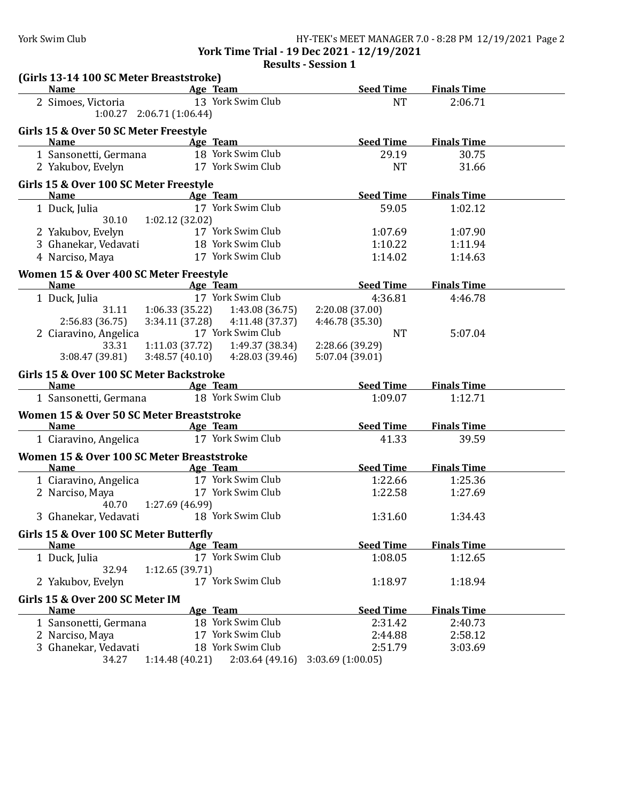## York Swim Club HY-TEK's MEET MANAGER 7.0 - 8:28 PM 12/19/2021 Page 2

**York Time Trial - 19 Dec 2021 - 12/19/2021**

**Results - Session 1** 

| (Girls 13-14 100 SC Meter Breaststroke)               |                             |                                     |                             |                    |  |
|-------------------------------------------------------|-----------------------------|-------------------------------------|-----------------------------|--------------------|--|
| <b>Name</b>                                           |                             | Age Team                            | <b>Seed Time</b>            | <b>Finals Time</b> |  |
| 2 Simoes, Victoria                                    | $1:00.27$ 2:06.71 (1:06.44) | 13 York Swim Club                   | <b>NT</b>                   | 2:06.71            |  |
| Girls 15 & Over 50 SC Meter Freestyle                 |                             |                                     |                             |                    |  |
| <b>Name</b>                                           |                             | Age Team                            | <b>Seed Time</b>            | <b>Finals Time</b> |  |
| 1 Sansonetti, Germana                                 |                             | 18 York Swim Club                   | 29.19                       | 30.75              |  |
| 2 Yakubov, Evelyn                                     |                             | 17 York Swim Club                   | <b>NT</b>                   | 31.66              |  |
| Girls 15 & Over 100 SC Meter Freestyle                |                             |                                     |                             |                    |  |
| <b>Name</b>                                           | <b>Example 2</b> Age Team   |                                     | <b>Seed Time</b>            | <b>Finals Time</b> |  |
| 1 Duck, Julia<br>30.10                                | 1:02.12 (32.02)             | 17 York Swim Club                   | 59.05                       | 1:02.12            |  |
| 2 Yakubov, Evelyn                                     |                             | 17 York Swim Club                   | 1:07.69                     | 1:07.90            |  |
| 3 Ghanekar, Vedavati                                  |                             | 18 York Swim Club                   | 1:10.22                     | 1:11.94            |  |
| 4 Narciso, Maya                                       |                             | 17 York Swim Club                   | 1:14.02                     | 1:14.63            |  |
|                                                       |                             |                                     |                             |                    |  |
| Women 15 & Over 400 SC Meter Freestyle<br><b>Name</b> |                             | Age Team                            | <b>Seed Time</b>            | <b>Finals Time</b> |  |
| 1 Duck, Julia                                         |                             | 17 York Swim Club                   | 4:36.81                     | 4:46.78            |  |
| 31.11                                                 | 1:06.33 (35.22)             | 1:43.08 (36.75)                     | 2:20.08 (37.00)             |                    |  |
| 2:56.83 (36.75)                                       | 3:34.11(37.28)              | 4:11.48 (37.37)                     | 4:46.78 (35.30)             |                    |  |
| 2 Ciaravino, Angelica                                 |                             | 17 York Swim Club                   | <b>NT</b>                   | 5:07.04            |  |
| 33.31                                                 | 1:11.03(37.72)              | 1:49.37 (38.34)                     | 2:28.66 (39.29)             |                    |  |
| 3:08.47 (39.81)                                       | 3:48.57(40.10)              | 4:28.03 (39.46)                     | 5:07.04 (39.01)             |                    |  |
| Girls 15 & Over 100 SC Meter Backstroke               |                             |                                     |                             |                    |  |
| <b>Name</b>                                           |                             | Age Team                            | <b>Seed Time</b>            | <b>Finals Time</b> |  |
| 1 Sansonetti, Germana                                 |                             | 18 York Swim Club                   | 1:09.07                     | 1:12.71            |  |
| Women 15 & Over 50 SC Meter Breaststroke              |                             |                                     |                             |                    |  |
| <b>Name</b>                                           |                             | Age Team                            | <b>Seed Time</b>            | <b>Finals Time</b> |  |
| 1 Ciaravino, Angelica                                 |                             | 17 York Swim Club                   | 41.33                       | 39.59              |  |
| Women 15 & Over 100 SC Meter Breaststroke             |                             |                                     |                             |                    |  |
| <b>Name</b>                                           |                             | Age Team                            | <b>Seed Time</b>            | <b>Finals Time</b> |  |
| 1 Ciaravino, Angelica                                 |                             | 17 York Swim Club                   | 1:22.66                     | 1:25.36            |  |
| 2 Narciso, Maya                                       |                             | 17 York Swim Club                   | 1:22.58                     | 1:27.69            |  |
| 40.70                                                 | 1:27.69 (46.99)             |                                     |                             |                    |  |
| 3 Ghanekar, Vedavati                                  |                             | 18 York Swim Club                   | 1:31.60                     | 1:34.43            |  |
| Girls 15 & Over 100 SC Meter Butterfly                |                             |                                     |                             |                    |  |
| <b>Name</b>                                           |                             | Age Team                            | <b>Seed Time</b>            | <b>Finals Time</b> |  |
| 1 Duck, Julia<br>32.94                                | 1:12.65(39.71)              | 17 York Swim Club                   | 1:08.05                     | 1:12.65            |  |
| 2 Yakubov, Evelyn                                     |                             | 17 York Swim Club                   | 1:18.97                     | 1:18.94            |  |
| Girls 15 & Over 200 SC Meter IM                       |                             |                                     |                             |                    |  |
| <b>Name</b>                                           |                             | Age Team                            | <b>Seed Time</b>            | <b>Finals Time</b> |  |
| 1 Sansonetti, Germana                                 |                             | 18 York Swim Club                   | 2:31.42                     | 2:40.73            |  |
| 2 Narciso, Maya                                       |                             | 17 York Swim Club                   | 2:44.88                     | 2:58.12            |  |
|                                                       |                             |                                     |                             |                    |  |
| 3 Ghanekar, Vedavati<br>34.27                         | 1:14.48(40.21)              | 18 York Swim Club<br>2:03.64(49.16) | 2:51.79<br>3:03.69(1:00.05) | 3:03.69            |  |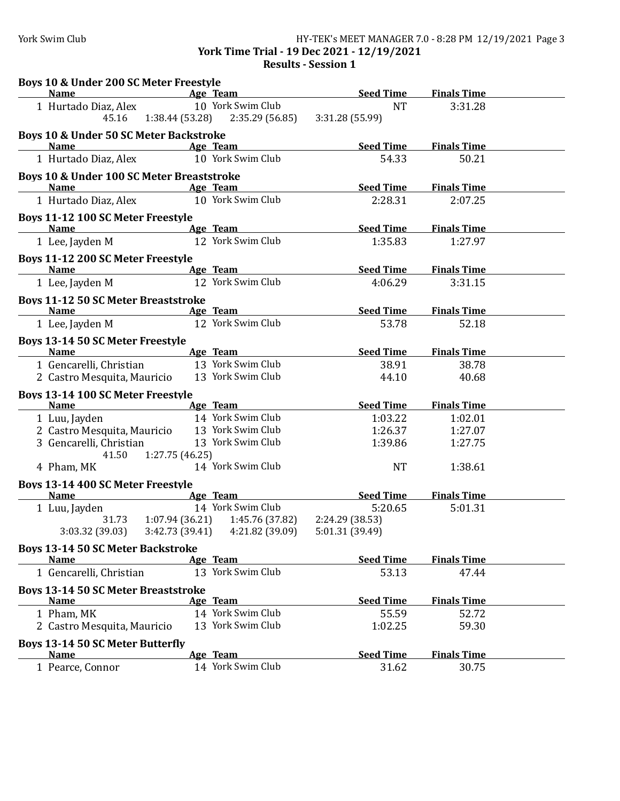## York Swim Club HY-TEK's MEET MANAGER 7.0 - 8:28 PM 12/19/2021 Page 3 **York Time Trial - 19 Dec 2021 - 12/19/2021**

**Results - Session 1** 

| Boys 10 & Under 200 SC Meter Freestyle               |                                                        |                              |                    |  |
|------------------------------------------------------|--------------------------------------------------------|------------------------------|--------------------|--|
| <b>Name</b>                                          | all Age Team                                           | <b>Seed Time</b>             | <b>Finals Time</b> |  |
| 1 Hurtado Diaz, Alex<br>45.16                        | 10 York Swim Club<br>1:38.44(53.28)<br>2:35.29 (56.85) | <b>NT</b><br>3:31.28 (55.99) | 3:31.28            |  |
| <b>Boys 10 &amp; Under 50 SC Meter Backstroke</b>    |                                                        |                              |                    |  |
| <b>Name</b>                                          | <b>Example 2</b> Age Team                              | <b>Seed Time</b>             | <b>Finals Time</b> |  |
| 1 Hurtado Diaz, Alex                                 | 10 York Swim Club                                      | 54.33                        | 50.21              |  |
| <b>Boys 10 &amp; Under 100 SC Meter Breaststroke</b> |                                                        |                              |                    |  |
| <b>Name</b>                                          | Age Team                                               | <b>Seed Time</b>             | <b>Finals Time</b> |  |
| 1 Hurtado Diaz, Alex                                 | 10 York Swim Club                                      | 2:28.31                      | 2:07.25            |  |
| <b>Boys 11-12 100 SC Meter Freestyle</b>             |                                                        |                              |                    |  |
| <b>Name</b>                                          | Age Team                                               | <b>Seed Time</b>             | <b>Finals Time</b> |  |
| 1 Lee, Jayden M                                      | 12 York Swim Club                                      | 1:35.83                      | 1:27.97            |  |
| Boys 11-12 200 SC Meter Freestyle                    |                                                        |                              |                    |  |
| <b>Name</b>                                          | Age Team                                               | <b>Seed Time</b>             | <b>Finals Time</b> |  |
| 1 Lee, Jayden M                                      | 12 York Swim Club                                      | 4:06.29                      | 3:31.15            |  |
| <b>Boys 11-12 50 SC Meter Breaststroke</b>           |                                                        |                              |                    |  |
| <b>Name</b>                                          | <b>Example 2</b> Age Team                              | <b>Seed Time</b>             | <b>Finals Time</b> |  |
| 1 Lee, Jayden M                                      | 12 York Swim Club                                      | 53.78                        | 52.18              |  |
| <b>Boys 13-14 50 SC Meter Freestyle</b>              |                                                        |                              |                    |  |
| <b>Name</b>                                          | Age Team                                               | <b>Seed Time</b>             | <b>Finals Time</b> |  |
| 1 Gencarelli, Christian                              | 13 York Swim Club                                      | 38.91                        | 38.78              |  |
| 2 Castro Mesquita, Mauricio                          | 13 York Swim Club                                      | 44.10                        | 40.68              |  |
| Boys 13-14 100 SC Meter Freestyle<br><b>Name</b>     | Age Team                                               | <b>Seed Time</b>             | <b>Finals Time</b> |  |
| 1 Luu, Jayden                                        | 14 York Swim Club                                      | 1:03.22                      | 1:02.01            |  |
| 2 Castro Mesquita, Mauricio                          | 13 York Swim Club                                      | 1:26.37                      | 1:27.07            |  |
| 3 Gencarelli, Christian                              | 13 York Swim Club                                      | 1:39.86                      | 1:27.75            |  |
| 41.50                                                | 1:27.75 (46.25)                                        |                              |                    |  |
| 4 Pham, MK                                           | 14 York Swim Club                                      | <b>NT</b>                    | 1:38.61            |  |
| Boys 13-14 400 SC Meter Freestyle                    |                                                        |                              |                    |  |
| <b>Name</b>                                          | Age Team                                               | <b>Seed Time</b>             | <b>Finals Time</b> |  |
| 1 Luu, Jayden                                        | 14 York Swim Club                                      | 5:20.65                      | 5:01.31            |  |
|                                                      | 31.73   1:07.94 (36.21)   1:45.76 (37.82)              | 2:24.29 (38.53)              |                    |  |
|                                                      | $3:03.32$ (39.03) $3:42.73$ (39.41) $4:21.82$ (39.09)  | 5:01.31 (39.49)              |                    |  |
| <b>Boys 13-14 50 SC Meter Backstroke</b>             |                                                        |                              |                    |  |
| <b>Name</b>                                          | Age Team                                               | <b>Seed Time</b>             | <b>Finals Time</b> |  |
| 1 Gencarelli, Christian                              | 13 York Swim Club                                      | 53.13                        | 47.44              |  |
| <b>Boys 13-14 50 SC Meter Breaststroke</b>           |                                                        |                              |                    |  |
| <b>Name</b>                                          | Age Team                                               | <b>Seed Time</b>             | <b>Finals Time</b> |  |
| 1 Pham, MK                                           | 14 York Swim Club                                      | 55.59                        | 52.72              |  |
| 2 Castro Mesquita, Mauricio                          | 13 York Swim Club                                      | 1:02.25                      | 59.30              |  |
| <b>Boys 13-14 50 SC Meter Butterfly</b>              |                                                        |                              |                    |  |
| <b>Name</b>                                          | Age Team                                               | <b>Seed Time</b>             | <b>Finals Time</b> |  |
| 1 Pearce, Connor                                     | 14 York Swim Club                                      | 31.62                        | 30.75              |  |